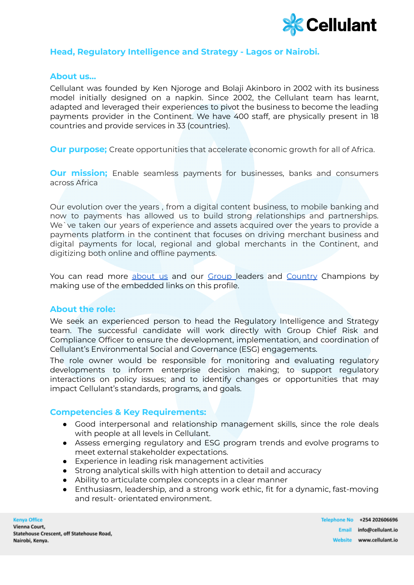

# **Head, Regulatory Intelligence and Strategy - Lagos or Nairobi.**

## **About us…**

Cellulant was founded by Ken Njoroge and Bolaji Akinboro in 2002 with its business model initially designed on a napkin. Since 2002, the Cellulant team has learnt, adapted and leveraged their experiences to pivot the business to become the leading payments provider in the Continent. We have 400 staff, are physically present in 18 countries and provide services in 33 (countries).

**Our purpose;** Create opportunities that accelerate economic growth for all of Africa.

**Our mission;** Enable seamless payments for businesses, banks and consumers across Africa

Our evolution over the years , from a digital content business, to mobile banking and now to payments has allowed us to build strong relationships and partnerships. We`ve taken our years of experience and assets acquired over the years to provide a payments platform in the continent that focuses on driving merchant business and digital payments for local, regional and global merchants in the Continent, and digitizing both online and offline payments.

You can read more [about](https://cellulant.io/) us and our [Group](https://cellulant.io/our-people/) leaders and [Country](https://cellulant.io/our-people/) Champions by making use of the embedded links on this profile.

#### **About the role:**

We seek an experienced person to head the Regulatory Intelligence and Strategy team. The successful candidate will work directly with Group Chief Risk and Compliance Officer to ensure the development, implementation, and coordination of Cellulant's Environmental Social and Governance (ESG) engagements.

The role owner would be responsible for monitoring and evaluating regulatory developments to inform enterprise decision making; to support regulatory interactions on policy issues; and to identify changes or opportunities that may impact Cellulant's standards, programs, and goals.

#### **Competencies & Key Requirements:**

- Good interpersonal and relationship management skills, since the role deals with people at all levels in Cellulant.
- Assess emerging regulatory and ESG program trends and evolve programs to meet external stakeholder expectations.
- Experience in leading risk management activities
- Strong analytical skills with high attention to detail and accuracy
- Ability to articulate complex concepts in a clear manner
- Enthusiasm, leadership, and a strong work ethic, fit for a dynamic, fast-moving and result- orientated environment.